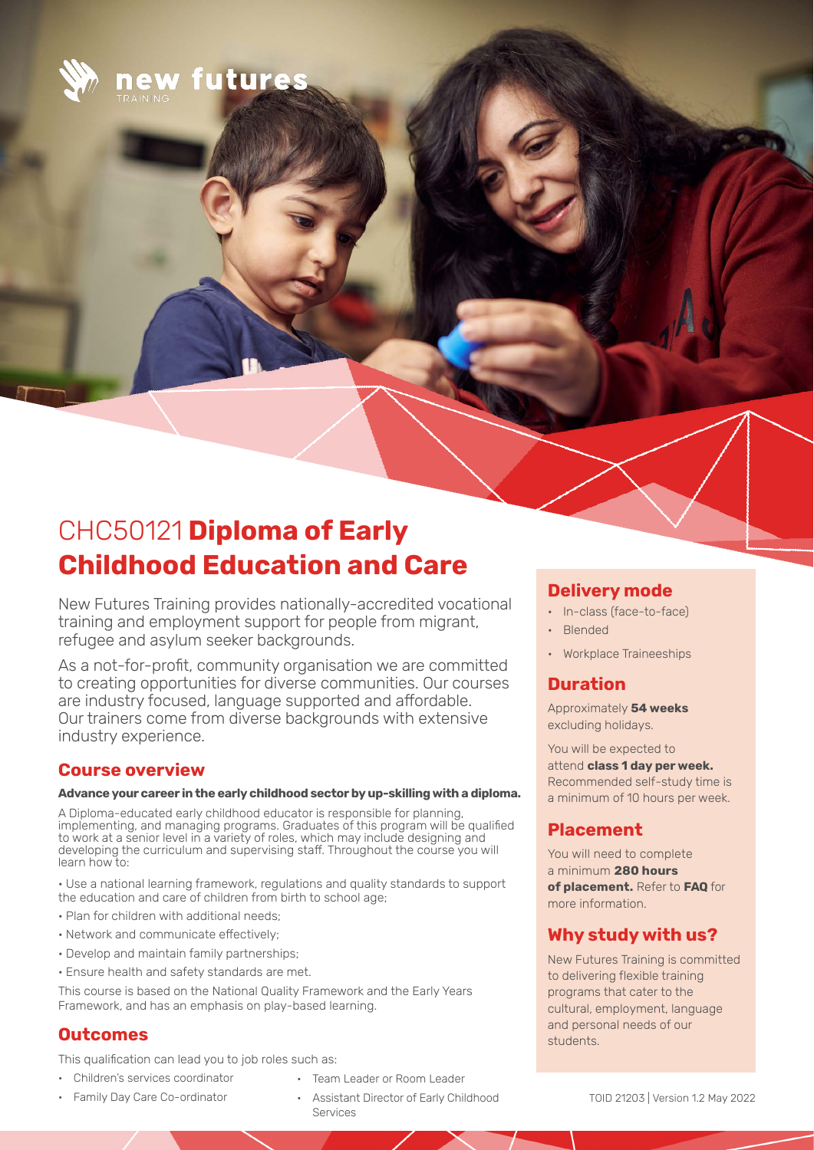

new futures

# CHC50121 **Diploma of Early Childhood Education and Care**

New Futures Training provides nationally-accredited vocational training and employment support for people from migrant, refugee and asylum seeker backgrounds.

As a not-for-profit, community organisation we are committed to creating opportunities for diverse communities. Our courses are industry focused, language supported and affordable. Our trainers come from diverse backgrounds with extensive industry experience.

### **Course overview**

#### **Advance your career in the early childhood sector by up-skilling with a diploma.**

A Diploma-educated early childhood educator is responsible for planning, implementing, and managing programs. Graduates of this program will be qualified to work at a senior level in a variety of roles, which may include designing and developing the curriculum and supervising staff. Throughout the course you will learn how to:

• Use a national learning framework, regulations and quality standards to support the education and care of children from birth to school age;

- Plan for children with additional needs;
- Network and communicate effectively;
- Develop and maintain family partnerships;
- Ensure health and safety standards are met.

This course is based on the National Quality Framework and the Early Years Framework, and has an emphasis on play-based learning.

# **Outcomes**

This qualification can lead you to job roles such as:

- Children's services coordinator
- Family Day Care Co-ordinator
- Team Leader or Room Leader
- Assistant Director of Early Childhood Services

### **Delivery mode**

- In-class (face-to-face)
- Blended
- Workplace Traineeships

# **Duration**

Approximately **54 weeks**  excluding holidays.

You will be expected to attend **class 1 day per week.**  Recommended self-study time is a minimum of 10 hours per week.

# **Placement**

You will need to complete a minimum **280 hours of placement.** Refer to **FAQ** for more information.

## **Why study with us?**

New Futures Training is committed to delivering flexible training programs that cater to the cultural, employment, language and personal needs of our students.